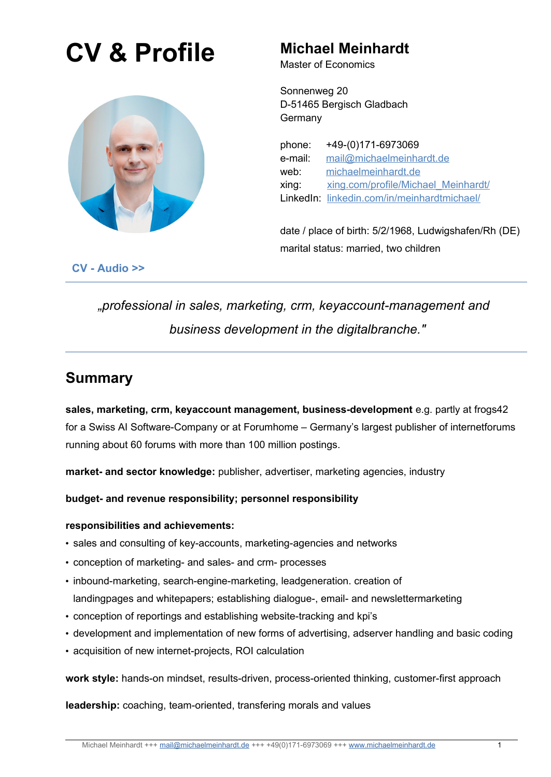# **CV & Profile Michael Meinhardt**



Master of Economics

Sonnenweg 20 D-51465 Bergisch Gladbach **Germany** 

phone: +49-(0)171-6973069 e-mail: [mail@michaelmeinhardt.de](mailto:mail@michaelmeinhardt.de) web: [michaelmeinhardt.de](https://michaelmeinhardt.de/) xing: [xing.com/profile/Michael\\_Meinhardt/](https://www.xing.com/profile/Michael_Meinhardt/cv) LinkedIn: [linkedin.com/in/meinhardtmichael/](https://www.linkedin.com/in/meinhardtmichael/)

date / place of birth: 5/2/1968, Ludwigshafen/Rh (DE) marital status: married, two children

**[CV - Audio >>](https://michaelmeinhardt.de/wp/wp-content/uploads/2022/04/MichaelMeinhardt-engl-30sec.m4a)**

*"professional in sales, marketing, crm, keyaccount-management and business development in the digitalbranche."*

# **Summary**

**sales, marketing, crm, keyaccount management, business-development** e.g. partly at frogs42 for a Swiss AI Software-Company or at Forumhome – Germany's largest publisher of internetforums running about 60 forums with more than 100 million postings.

**market- and sector knowledge:** publisher, advertiser, marketing agencies, industry

**budget- and revenue responsibility; personnel responsibility**

### **responsibilities and achievements:**

- sales and consulting of key-accounts, marketing-agencies and networks
- conception of marketing- and sales- and crm- processes
- inbound-marketing, search-engine-marketing, leadgeneration. creation of landingpages and whitepapers; establishing dialogue-, email- and newslettermarketing
- conception of reportings and establishing website-tracking and kpi's
- development and implementation of new forms of advertising, adserver handling and basic coding
- acquisition of new internet-projects, ROI calculation

**work style:** hands-on mindset, results-driven, process-oriented thinking, customer-first approach

**leadership:** coaching, team-oriented, transfering morals and values